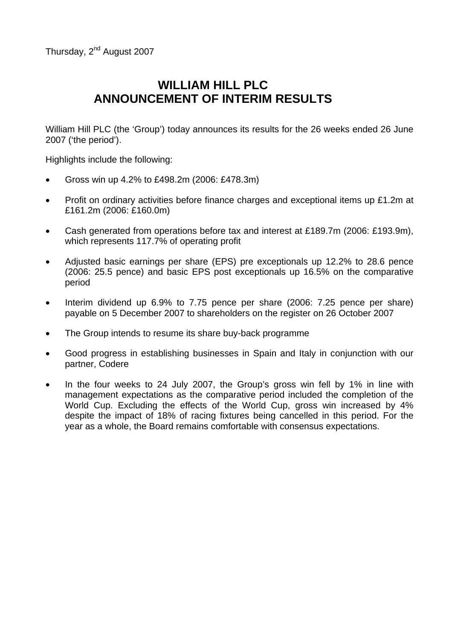Thursday, 2<sup>nd</sup> August 2007

# **WILLIAM HILL PLC ANNOUNCEMENT OF INTERIM RESULTS**

William Hill PLC (the 'Group') today announces its results for the 26 weeks ended 26 June 2007 ('the period').

Highlights include the following:

- Gross win up 4.2% to £498.2m (2006: £478.3m)
- Profit on ordinary activities before finance charges and exceptional items up £1.2m at £161.2m (2006: £160.0m)
- Cash generated from operations before tax and interest at £189.7m (2006: £193.9m), which represents 117.7% of operating profit
- Adjusted basic earnings per share (EPS) pre exceptionals up 12.2% to 28.6 pence (2006: 25.5 pence) and basic EPS post exceptionals up 16.5% on the comparative period
- Interim dividend up 6.9% to 7.75 pence per share (2006: 7.25 pence per share) payable on 5 December 2007 to shareholders on the register on 26 October 2007
- The Group intends to resume its share buy-back programme
- Good progress in establishing businesses in Spain and Italy in conjunction with our partner, Codere
- In the four weeks to 24 July 2007, the Group's gross win fell by 1% in line with management expectations as the comparative period included the completion of the World Cup. Excluding the effects of the World Cup, gross win increased by 4% despite the impact of 18% of racing fixtures being cancelled in this period. For the year as a whole, the Board remains comfortable with consensus expectations.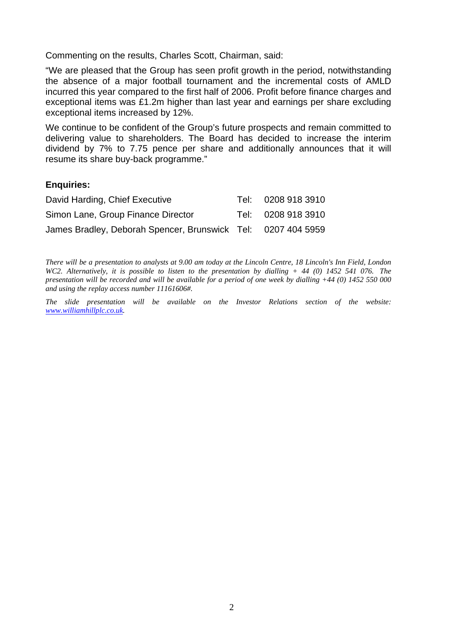Commenting on the results, Charles Scott, Chairman, said:

"We are pleased that the Group has seen profit growth in the period, notwithstanding the absence of a major football tournament and the incremental costs of AMLD incurred this year compared to the first half of 2006. Profit before finance charges and exceptional items was £1.2m higher than last year and earnings per share excluding exceptional items increased by 12%.

We continue to be confident of the Group's future prospects and remain committed to delivering value to shareholders. The Board has decided to increase the interim dividend by 7% to 7.75 pence per share and additionally announces that it will resume its share buy-back programme."

### **Enquiries:**

| David Harding, Chief Executive                               | Tel: | 0208 918 3910      |
|--------------------------------------------------------------|------|--------------------|
| Simon Lane, Group Finance Director                           |      | Tel: 0208 918 3910 |
| James Bradley, Deborah Spencer, Brunswick Tel: 0207 404 5959 |      |                    |

*There will be a presentation to analysts at 9.00 am today at the Lincoln Centre, 18 Lincoln's Inn Field, London WC2. Alternatively, it is possible to listen to the presentation by dialling + 44 (0) 1452 541 076. The presentation will be recorded and will be available for a period of one week by dialling +44 (0) 1452 550 000 and using the replay access number 11161606#.* 

*The slide presentation will be available on the Investor Relations section of the website: [www.williamhillplc.co.uk.](http://www.williamhillplc.co.uk/)*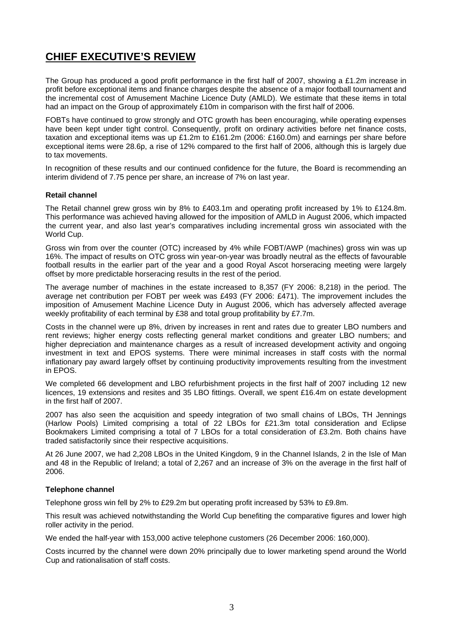# **CHIEF EXECUTIVE'S REVIEW**

The Group has produced a good profit performance in the first half of 2007, showing a £1.2m increase in profit before exceptional items and finance charges despite the absence of a major football tournament and the incremental cost of Amusement Machine Licence Duty (AMLD). We estimate that these items in total had an impact on the Group of approximately £10m in comparison with the first half of 2006.

FOBTs have continued to grow strongly and OTC growth has been encouraging, while operating expenses have been kept under tight control. Consequently, profit on ordinary activities before net finance costs, taxation and exceptional items was up £1.2m to £161.2m (2006: £160.0m) and earnings per share before exceptional items were 28.6p, a rise of 12% compared to the first half of 2006, although this is largely due to tax movements.

In recognition of these results and our continued confidence for the future, the Board is recommending an interim dividend of 7.75 pence per share, an increase of 7% on last year.

#### **Retail channel**

The Retail channel grew gross win by 8% to £403.1m and operating profit increased by 1% to £124.8m. This performance was achieved having allowed for the imposition of AMLD in August 2006, which impacted the current year, and also last year's comparatives including incremental gross win associated with the World Cup.

Gross win from over the counter (OTC) increased by 4% while FOBT/AWP (machines) gross win was up 16%. The impact of results on OTC gross win year-on-year was broadly neutral as the effects of favourable football results in the earlier part of the year and a good Royal Ascot horseracing meeting were largely offset by more predictable horseracing results in the rest of the period.

The average number of machines in the estate increased to 8,357 (FY 2006: 8,218) in the period. The average net contribution per FOBT per week was £493 (FY 2006: £471). The improvement includes the imposition of Amusement Machine Licence Duty in August 2006, which has adversely affected average weekly profitability of each terminal by £38 and total group profitability by £7.7m.

Costs in the channel were up 8%, driven by increases in rent and rates due to greater LBO numbers and rent reviews; higher energy costs reflecting general market conditions and greater LBO numbers; and higher depreciation and maintenance charges as a result of increased development activity and ongoing investment in text and EPOS systems. There were minimal increases in staff costs with the normal inflationary pay award largely offset by continuing productivity improvements resulting from the investment in EPOS.

We completed 66 development and LBO refurbishment projects in the first half of 2007 including 12 new licences, 19 extensions and resites and 35 LBO fittings. Overall, we spent £16.4m on estate development in the first half of 2007.

2007 has also seen the acquisition and speedy integration of two small chains of LBOs, TH Jennings (Harlow Pools) Limited comprising a total of 22 LBOs for £21.3m total consideration and Eclipse Bookmakers Limited comprising a total of 7 LBOs for a total consideration of £3.2m. Both chains have traded satisfactorily since their respective acquisitions.

At 26 June 2007, we had 2,208 LBOs in the United Kingdom, 9 in the Channel Islands, 2 in the Isle of Man and 48 in the Republic of Ireland; a total of 2,267 and an increase of 3% on the average in the first half of 2006.

#### **Telephone channel**

Telephone gross win fell by 2% to £29.2m but operating profit increased by 53% to £9.8m.

This result was achieved notwithstanding the World Cup benefiting the comparative figures and lower high roller activity in the period.

We ended the half-year with 153,000 active telephone customers (26 December 2006: 160,000).

Costs incurred by the channel were down 20% principally due to lower marketing spend around the World Cup and rationalisation of staff costs.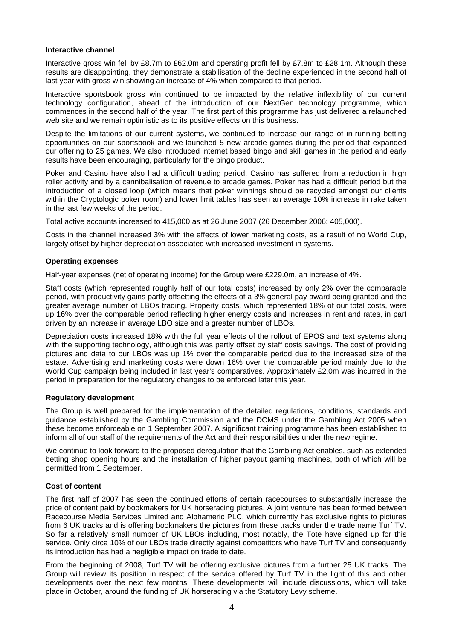#### **Interactive channel**

Interactive gross win fell by £8.7m to £62.0m and operating profit fell by £7.8m to £28.1m. Although these results are disappointing, they demonstrate a stabilisation of the decline experienced in the second half of last year with gross win showing an increase of 4% when compared to that period.

Interactive sportsbook gross win continued to be impacted by the relative inflexibility of our current technology configuration, ahead of the introduction of our NextGen technology programme, which commences in the second half of the year. The first part of this programme has just delivered a relaunched web site and we remain optimistic as to its positive effects on this business.

Despite the limitations of our current systems, we continued to increase our range of in-running betting opportunities on our sportsbook and we launched 5 new arcade games during the period that expanded our offering to 25 games. We also introduced internet based bingo and skill games in the period and early results have been encouraging, particularly for the bingo product.

Poker and Casino have also had a difficult trading period. Casino has suffered from a reduction in high roller activity and by a cannibalisation of revenue to arcade games. Poker has had a difficult period but the introduction of a closed loop (which means that poker winnings should be recycled amongst our clients within the Cryptologic poker room) and lower limit tables has seen an average 10% increase in rake taken in the last few weeks of the period.

Total active accounts increased to 415,000 as at 26 June 2007 (26 December 2006: 405,000).

Costs in the channel increased 3% with the effects of lower marketing costs, as a result of no World Cup, largely offset by higher depreciation associated with increased investment in systems.

#### **Operating expenses**

Half-year expenses (net of operating income) for the Group were £229.0m, an increase of 4%.

Staff costs (which represented roughly half of our total costs) increased by only 2% over the comparable period, with productivity gains partly offsetting the effects of a 3% general pay award being granted and the greater average number of LBOs trading. Property costs, which represented 18% of our total costs, were up 16% over the comparable period reflecting higher energy costs and increases in rent and rates, in part driven by an increase in average LBO size and a greater number of LBOs.

Depreciation costs increased 18% with the full year effects of the rollout of EPOS and text systems along with the supporting technology, although this was partly offset by staff costs savings. The cost of providing pictures and data to our LBOs was up 1% over the comparable period due to the increased size of the estate. Advertising and marketing costs were down 16% over the comparable period mainly due to the World Cup campaign being included in last year's comparatives. Approximately £2.0m was incurred in the period in preparation for the regulatory changes to be enforced later this year.

#### **Regulatory development**

The Group is well prepared for the implementation of the detailed regulations, conditions, standards and guidance established by the Gambling Commission and the DCMS under the Gambling Act 2005 when these become enforceable on 1 September 2007. A significant training programme has been established to inform all of our staff of the requirements of the Act and their responsibilities under the new regime.

We continue to look forward to the proposed deregulation that the Gambling Act enables, such as extended betting shop opening hours and the installation of higher payout gaming machines, both of which will be permitted from 1 September.

### **Cost of content**

The first half of 2007 has seen the continued efforts of certain racecourses to substantially increase the price of content paid by bookmakers for UK horseracing pictures. A joint venture has been formed between Racecourse Media Services Limited and Alphameric PLC, which currently has exclusive rights to pictures from 6 UK tracks and is offering bookmakers the pictures from these tracks under the trade name Turf TV. So far a relatively small number of UK LBOs including, most notably, the Tote have signed up for this service. Only circa 10% of our LBOs trade directly against competitors who have Turf TV and consequently its introduction has had a negligible impact on trade to date.

From the beginning of 2008, Turf TV will be offering exclusive pictures from a further 25 UK tracks. The Group will review its position in respect of the service offered by Turf TV in the light of this and other developments over the next few months. These developments will include discussions, which will take place in October, around the funding of UK horseracing via the Statutory Levy scheme.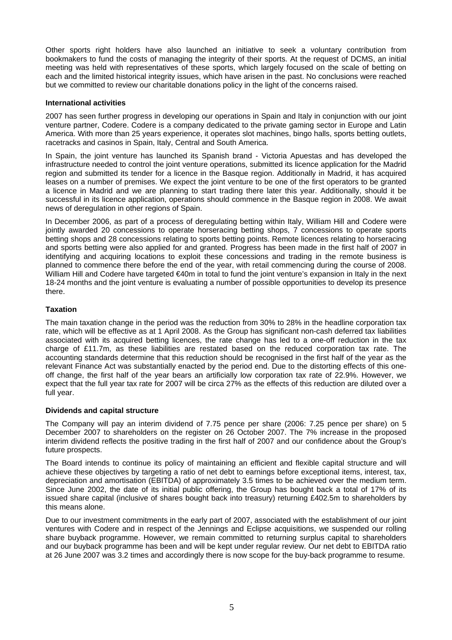Other sports right holders have also launched an initiative to seek a voluntary contribution from bookmakers to fund the costs of managing the integrity of their sports. At the request of DCMS, an initial meeting was held with representatives of these sports, which largely focused on the scale of betting on each and the limited historical integrity issues, which have arisen in the past. No conclusions were reached but we committed to review our charitable donations policy in the light of the concerns raised.

#### **International activities**

2007 has seen further progress in developing our operations in Spain and Italy in conjunction with our joint venture partner, Codere. Codere is a company dedicated to the private gaming sector in Europe and Latin America. With more than 25 years experience, it operates slot machines, bingo halls, sports betting outlets, racetracks and casinos in Spain, Italy, Central and South America.

In Spain, the joint venture has launched its Spanish brand - Victoria Apuestas and has developed the infrastructure needed to control the joint venture operations, submitted its licence application for the Madrid region and submitted its tender for a licence in the Basque region. Additionally in Madrid, it has acquired leases on a number of premises. We expect the joint venture to be one of the first operators to be granted a licence in Madrid and we are planning to start trading there later this year. Additionally, should it be successful in its licence application, operations should commence in the Basque region in 2008. We await news of deregulation in other regions of Spain.

In December 2006, as part of a process of deregulating betting within Italy, William Hill and Codere were jointly awarded 20 concessions to operate horseracing betting shops, 7 concessions to operate sports betting shops and 28 concessions relating to sports betting points. Remote licences relating to horseracing and sports betting were also applied for and granted. Progress has been made in the first half of 2007 in identifying and acquiring locations to exploit these concessions and trading in the remote business is planned to commence there before the end of the year, with retail commencing during the course of 2008. William Hill and Codere have targeted €40m in total to fund the joint venture's expansion in Italy in the next 18-24 months and the joint venture is evaluating a number of possible opportunities to develop its presence there.

### **Taxation**

The main taxation change in the period was the reduction from 30% to 28% in the headline corporation tax rate, which will be effective as at 1 April 2008. As the Group has significant non-cash deferred tax liabilities associated with its acquired betting licences, the rate change has led to a one-off reduction in the tax charge of £11.7m, as these liabilities are restated based on the reduced corporation tax rate. The accounting standards determine that this reduction should be recognised in the first half of the year as the relevant Finance Act was substantially enacted by the period end. Due to the distorting effects of this oneoff change, the first half of the year bears an artificially low corporation tax rate of 22.9%. However, we expect that the full year tax rate for 2007 will be circa 27% as the effects of this reduction are diluted over a full year.

#### **Dividends and capital structure**

The Company will pay an interim dividend of 7.75 pence per share (2006: 7.25 pence per share) on 5 December 2007 to shareholders on the register on 26 October 2007. The 7% increase in the proposed interim dividend reflects the positive trading in the first half of 2007 and our confidence about the Group's future prospects.

The Board intends to continue its policy of maintaining an efficient and flexible capital structure and will achieve these objectives by targeting a ratio of net debt to earnings before exceptional items, interest, tax, depreciation and amortisation (EBITDA) of approximately 3.5 times to be achieved over the medium term. Since June 2002, the date of its initial public offering, the Group has bought back a total of 17% of its issued share capital (inclusive of shares bought back into treasury) returning £402.5m to shareholders by this means alone.

Due to our investment commitments in the early part of 2007, associated with the establishment of our joint ventures with Codere and in respect of the Jennings and Eclipse acquisitions, we suspended our rolling share buyback programme. However, we remain committed to returning surplus capital to shareholders and our buyback programme has been and will be kept under regular review. Our net debt to EBITDA ratio at 26 June 2007 was 3.2 times and accordingly there is now scope for the buy-back programme to resume.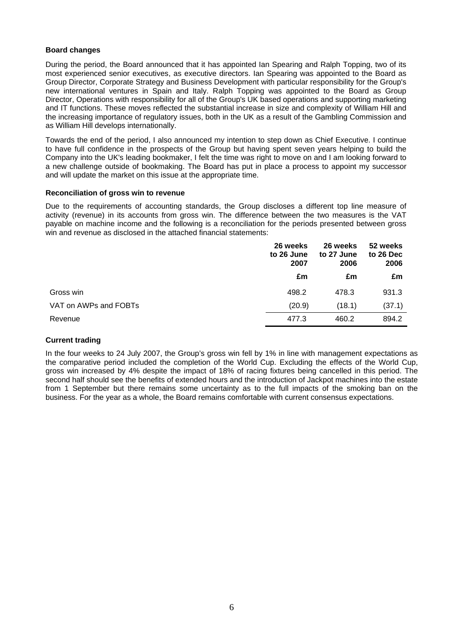#### **Board changes**

During the period, the Board announced that it has appointed Ian Spearing and Ralph Topping, two of its most experienced senior executives, as executive directors. Ian Spearing was appointed to the Board as Group Director, Corporate Strategy and Business Development with particular responsibility for the Group's new international ventures in Spain and Italy. Ralph Topping was appointed to the Board as Group Director, Operations with responsibility for all of the Group's UK based operations and supporting marketing and IT functions. These moves reflected the substantial increase in size and complexity of William Hill and the increasing importance of regulatory issues, both in the UK as a result of the Gambling Commission and as William Hill develops internationally.

Towards the end of the period, I also announced my intention to step down as Chief Executive. I continue to have full confidence in the prospects of the Group but having spent seven years helping to build the Company into the UK's leading bookmaker, I felt the time was right to move on and I am looking forward to a new challenge outside of bookmaking. The Board has put in place a process to appoint my successor and will update the market on this issue at the appropriate time.

#### **Reconciliation of gross win to revenue**

Due to the requirements of accounting standards, the Group discloses a different top line measure of activity (revenue) in its accounts from gross win. The difference between the two measures is the VAT payable on machine income and the following is a reconciliation for the periods presented between gross win and revenue as disclosed in the attached financial statements:

|                       | 26 weeks<br>to 26 June<br>2007 | 26 weeks<br>to 27 June<br>2006 | 52 weeks<br>to 26 Dec<br>2006 |  |
|-----------------------|--------------------------------|--------------------------------|-------------------------------|--|
|                       | £m                             | £m                             | £m                            |  |
| Gross win             | 498.2                          | 478.3                          | 931.3                         |  |
| VAT on AWPs and FOBTs | (20.9)                         | (18.1)                         | (37.1)                        |  |
| Revenue               | 477.3                          | 460.2                          | 894.2                         |  |

### **Current trading**

In the four weeks to 24 July 2007, the Group's gross win fell by 1% in line with management expectations as the comparative period included the completion of the World Cup. Excluding the effects of the World Cup, gross win increased by 4% despite the impact of 18% of racing fixtures being cancelled in this period. The second half should see the benefits of extended hours and the introduction of Jackpot machines into the estate from 1 September but there remains some uncertainty as to the full impacts of the smoking ban on the business. For the year as a whole, the Board remains comfortable with current consensus expectations.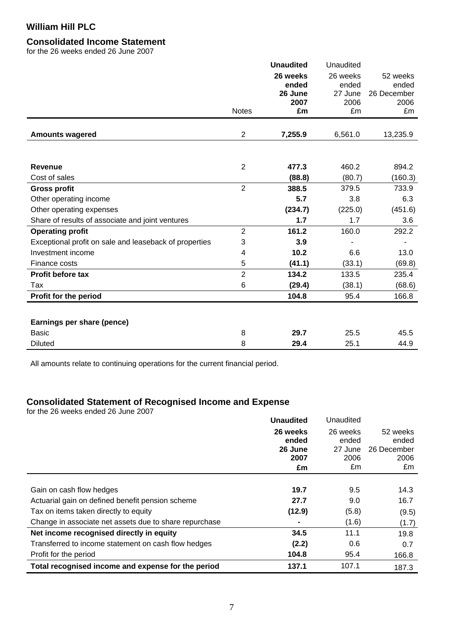### **Consolidated Income Statement**

for the 26 weeks ended 26 June 2007

|                                                        |                | <b>Unaudited</b> | Unaudited       |                     |
|--------------------------------------------------------|----------------|------------------|-----------------|---------------------|
|                                                        |                | 26 weeks         | 26 weeks        | 52 weeks            |
|                                                        |                | ended            | ended           | ended               |
|                                                        |                | 26 June<br>2007  | 27 June<br>2006 | 26 December<br>2006 |
|                                                        | <b>Notes</b>   | £m               | £m              | £m                  |
|                                                        |                |                  |                 |                     |
| <b>Amounts wagered</b>                                 | $\overline{2}$ | 7,255.9          | 6,561.0         | 13,235.9            |
|                                                        |                |                  |                 |                     |
| <b>Revenue</b>                                         | $\overline{2}$ | 477.3            | 460.2           | 894.2               |
| Cost of sales                                          |                | (88.8)           | (80.7)          | (160.3)             |
| <b>Gross profit</b>                                    | $\overline{2}$ | 388.5            | 379.5           | 733.9               |
| Other operating income                                 |                | 5.7              | 3.8             | 6.3                 |
| Other operating expenses                               |                | (234.7)          | (225.0)         | (451.6)             |
| Share of results of associate and joint ventures       |                | 1.7              | 1.7             | 3.6                 |
| <b>Operating profit</b>                                | $\overline{2}$ | 161.2            | 160.0           | 292.2               |
| Exceptional profit on sale and leaseback of properties | 3              | 3.9              |                 |                     |
| Investment income                                      | 4              | 10.2             | 6.6             | 13.0                |
| Finance costs                                          | 5              | (41.1)           | (33.1)          | (69.8)              |
| Profit before tax                                      | $\overline{2}$ | 134.2            | 133.5           | 235.4               |
| Tax                                                    | 6              | (29.4)           | (38.1)          | (68.6)              |
| Profit for the period                                  |                | 104.8            | 95.4            | 166.8               |
|                                                        |                |                  |                 |                     |
| Earnings per share (pence)                             |                |                  |                 |                     |
| <b>Basic</b>                                           | 8              | 29.7             | 25.5            | 45.5                |
| Diluted                                                | 8              | 29.4             | 25.1            | 44.9                |

All amounts relate to continuing operations for the current financial period.

### **Consolidated Statement of Recognised Income and Expense**

for the 26 weeks ended 26 June 2007

|                                                        | <b>Unaudited</b> | Unaudited        |                      |
|--------------------------------------------------------|------------------|------------------|----------------------|
|                                                        | 26 weeks         | 26 weeks         | 52 weeks             |
|                                                        | ended<br>26 June | ended<br>27 June | ended<br>26 December |
|                                                        | 2007             | 2006             | 2006                 |
|                                                        | £m               | £m               | £m                   |
|                                                        |                  |                  |                      |
| Gain on cash flow hedges                               | 19.7             | 9.5              | 14.3                 |
| Actuarial gain on defined benefit pension scheme       | 27.7             | 9.0              | 16.7                 |
| Tax on items taken directly to equity                  | (12.9)           | (5.8)            | (9.5)                |
| Change in associate net assets due to share repurchase |                  | (1.6)            | (1.7)                |
| Net income recognised directly in equity               | 34.5             | 11.1             | 19.8                 |
| Transferred to income statement on cash flow hedges    | (2.2)            | 0.6              | 0.7                  |
| Profit for the period                                  | 104.8            | 95.4             | 166.8                |
| Total recognised income and expense for the period     | 137.1            | 107.1            | 187.3                |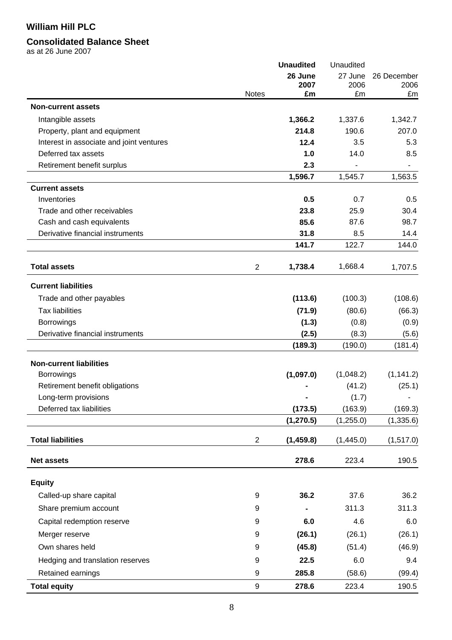## **Consolidated Balance Sheet**

as at 26 June 2007

|                                          |                | <b>Unaudited</b> | Unaudited |                |  |
|------------------------------------------|----------------|------------------|-----------|----------------|--|
|                                          |                | 26 June          | 27 June   | 26 December    |  |
|                                          |                | 2007<br>£m       | 2006      | 2006           |  |
| <b>Non-current assets</b>                | <b>Notes</b>   |                  | £m        | £m             |  |
|                                          |                |                  |           |                |  |
| Intangible assets                        |                | 1,366.2          | 1,337.6   | 1,342.7        |  |
| Property, plant and equipment            |                | 214.8            | 190.6     | 207.0          |  |
| Interest in associate and joint ventures |                | 12.4             | 3.5       | 5.3            |  |
| Deferred tax assets                      |                | 1.0              | 14.0      | 8.5            |  |
| Retirement benefit surplus               |                | 2.3              |           | $\blacksquare$ |  |
|                                          |                | 1,596.7          | 1,545.7   | 1,563.5        |  |
| <b>Current assets</b>                    |                | 0.5              |           |                |  |
| Inventories                              |                |                  | 0.7       | 0.5            |  |
| Trade and other receivables              |                | 23.8             | 25.9      | 30.4           |  |
| Cash and cash equivalents                |                | 85.6             | 87.6      | 98.7           |  |
| Derivative financial instruments         |                | 31.8             | 8.5       | 14.4           |  |
|                                          |                | 141.7            | 122.7     | 144.0          |  |
| <b>Total assets</b>                      | $\overline{2}$ | 1,738.4          | 1,668.4   | 1,707.5        |  |
| <b>Current liabilities</b>               |                |                  |           |                |  |
| Trade and other payables                 |                | (113.6)          | (100.3)   | (108.6)        |  |
| <b>Tax liabilities</b>                   |                | (71.9)           | (80.6)    | (66.3)         |  |
| <b>Borrowings</b>                        |                | (1.3)            | (0.8)     | (0.9)          |  |
| Derivative financial instruments         |                | (2.5)            | (8.3)     | (5.6)          |  |
|                                          |                | (189.3)          | (190.0)   | (181.4)        |  |
| <b>Non-current liabilities</b>           |                |                  |           |                |  |
| <b>Borrowings</b>                        |                | (1,097.0)        | (1,048.2) | (1, 141.2)     |  |
| Retirement benefit obligations           |                |                  | (41.2)    | (25.1)         |  |
| Long-term provisions                     |                |                  | (1.7)     |                |  |
| Deferred tax liabilities                 |                | (173.5)          | (163.9)   | (169.3)        |  |
|                                          |                | (1, 270.5)       | (1,255.0) | (1, 335.6)     |  |
| <b>Total liabilities</b>                 | $\overline{c}$ | (1,459.8)        | (1,445.0) | (1, 517.0)     |  |
| <b>Net assets</b>                        |                | 278.6            | 223.4     | 190.5          |  |
| <b>Equity</b>                            |                |                  |           |                |  |
|                                          |                |                  |           |                |  |
| Called-up share capital                  | 9              | 36.2             | 37.6      | 36.2           |  |
| Share premium account                    | 9              |                  | 311.3     | 311.3          |  |
| Capital redemption reserve               | 9              | 6.0              | 4.6       | 6.0            |  |
| Merger reserve                           | 9              | (26.1)           | (26.1)    | (26.1)         |  |
| Own shares held                          | 9              | (45.8)           | (51.4)    | (46.9)         |  |
| Hedging and translation reserves         | 9              | 22.5             | 6.0       | 9.4            |  |
| Retained earnings                        | 9              | 285.8            | (58.6)    | (99.4)         |  |
| <b>Total equity</b>                      | 9              | 278.6            | 223.4     | 190.5          |  |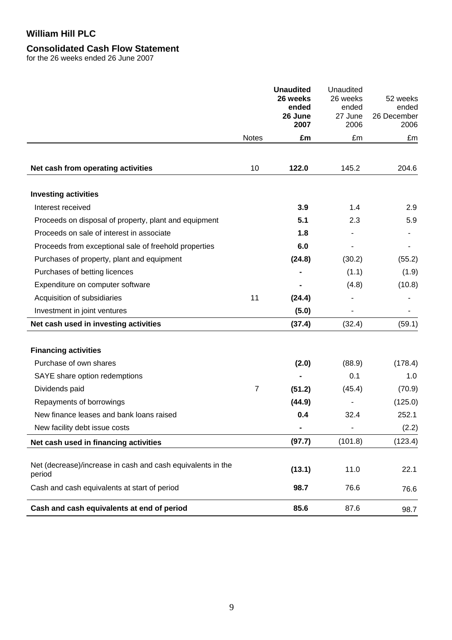## **Consolidated Cash Flow Statement**

for the 26 weeks ended 26 June 2007

|                                                                       |              | <b>Unaudited</b><br>26 weeks<br>ended<br>26 June<br>2007 | Unaudited<br>26 weeks<br>ended<br>27 June<br>2006 | 52 weeks<br>ended<br>26 December<br>2006 |
|-----------------------------------------------------------------------|--------------|----------------------------------------------------------|---------------------------------------------------|------------------------------------------|
|                                                                       | <b>Notes</b> | £m                                                       | £m                                                | £m                                       |
| Net cash from operating activities                                    | 10           | 122.0                                                    | 145.2                                             | 204.6                                    |
| <b>Investing activities</b>                                           |              |                                                          |                                                   |                                          |
| Interest received                                                     |              | 3.9                                                      | 1.4                                               | 2.9                                      |
| Proceeds on disposal of property, plant and equipment                 |              | 5.1                                                      | 2.3                                               | 5.9                                      |
| Proceeds on sale of interest in associate                             |              | 1.8                                                      |                                                   |                                          |
| Proceeds from exceptional sale of freehold properties                 |              | 6.0                                                      |                                                   |                                          |
| Purchases of property, plant and equipment                            |              | (24.8)                                                   | (30.2)                                            | (55.2)                                   |
| Purchases of betting licences                                         |              |                                                          | (1.1)                                             | (1.9)                                    |
| Expenditure on computer software                                      |              |                                                          | (4.8)                                             | (10.8)                                   |
| Acquisition of subsidiaries                                           | 11           | (24.4)                                                   |                                                   |                                          |
| Investment in joint ventures                                          |              | (5.0)                                                    |                                                   |                                          |
| Net cash used in investing activities                                 |              | (37.4)                                                   | (32.4)                                            | (59.1)                                   |
| <b>Financing activities</b>                                           |              |                                                          |                                                   |                                          |
| Purchase of own shares                                                |              | (2.0)                                                    | (88.9)                                            | (178.4)                                  |
| SAYE share option redemptions                                         |              |                                                          | 0.1                                               | 1.0                                      |
| Dividends paid                                                        | 7            | (51.2)                                                   | (45.4)                                            | (70.9)                                   |
| Repayments of borrowings                                              |              | (44.9)                                                   |                                                   | (125.0)                                  |
| New finance leases and bank loans raised                              |              | 0.4                                                      | 32.4                                              | 252.1                                    |
| New facility debt issue costs                                         |              | $\qquad \qquad \blacksquare$                             |                                                   | (2.2)                                    |
| Net cash used in financing activities                                 |              | (97.7)                                                   | (101.8)                                           | (123.4)                                  |
| Net (decrease)/increase in cash and cash equivalents in the<br>period |              | (13.1)                                                   | 11.0                                              | 22.1                                     |
| Cash and cash equivalents at start of period                          |              | 98.7                                                     | 76.6                                              | 76.6                                     |
| Cash and cash equivalents at end of period                            |              | 85.6                                                     | 87.6                                              | 98.7                                     |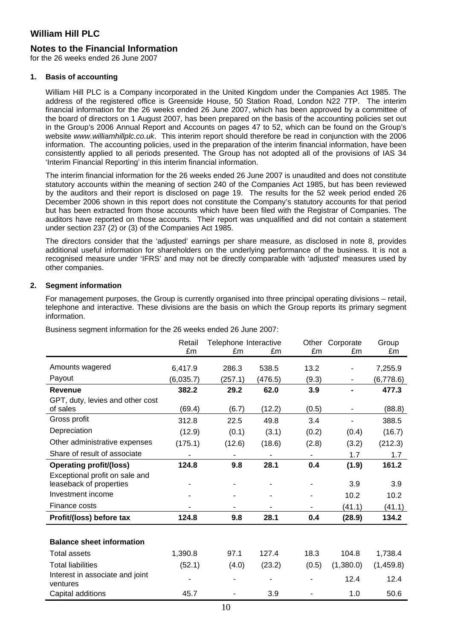### **Notes to the Financial Information**

for the 26 weeks ended 26 June 2007

#### **1. Basis of accounting**

William Hill PLC is a Company incorporated in the United Kingdom under the Companies Act 1985. The address of the registered office is Greenside House, 50 Station Road, London N22 7TP. The interim financial information for the 26 weeks ended 26 June 2007, which has been approved by a committee of the board of directors on 1 August 2007, has been prepared on the basis of the accounting policies set out in the Group's 2006 Annual Report and Accounts on pages 47 to 52, which can be found on the Group's website *www.williamhillplc.co.uk*. This interim report should therefore be read in conjunction with the 2006 information. The accounting policies, used in the preparation of the interim financial information, have been consistently applied to all periods presented. The Group has not adopted all of the provisions of IAS 34 'Interim Financial Reporting' in this interim financial information.

The interim financial information for the 26 weeks ended 26 June 2007 is unaudited and does not constitute statutory accounts within the meaning of section 240 of the Companies Act 1985, but has been reviewed by the auditors and their report is disclosed on page 19. The results for the 52 week period ended 26 December 2006 shown in this report does not constitute the Company's statutory accounts for that period but has been extracted from those accounts which have been filed with the Registrar of Companies. The auditors have reported on those accounts. Their report was unqualified and did not contain a statement under section 237 (2) or (3) of the Companies Act 1985.

The directors consider that the 'adjusted' earnings per share measure, as disclosed in note 8, provides additional useful information for shareholders on the underlying performance of the business. It is not a recognised measure under 'IFRS' and may not be directly comparable with 'adjusted' measures used by other companies.

### **2. Segment information**

For management purposes, the Group is currently organised into three principal operating divisions – retail, telephone and interactive. These divisions are the basis on which the Group reports its primary segment information.

|                                             | Retail    | Telephone Interactive |         | Other<br>Corporate |                          | Group     |
|---------------------------------------------|-----------|-----------------------|---------|--------------------|--------------------------|-----------|
|                                             | £m        | £m                    | £m      | £m                 | £m                       | £m        |
| Amounts wagered                             | 6,417.9   | 286.3                 | 538.5   | 13.2               |                          | 7,255.9   |
| Payout                                      | (6,035.7) | (257.1)               | (476.5) | (9.3)              |                          | (6,778.6) |
| <b>Revenue</b>                              | 382.2     | 29.2                  | 62.0    | 3.9                |                          | 477.3     |
| GPT, duty, levies and other cost            |           |                       |         |                    |                          |           |
| of sales                                    | (69.4)    | (6.7)                 | (12.2)  | (0.5)              | $\overline{\phantom{a}}$ | (88.8)    |
| Gross profit                                | 312.8     | 22.5                  | 49.8    | 3.4                |                          | 388.5     |
| Depreciation                                | (12.9)    | (0.1)                 | (3.1)   | (0.2)              | (0.4)                    | (16.7)    |
| Other administrative expenses               | (175.1)   | (12.6)                | (18.6)  | (2.8)              | (3.2)                    | (212.3)   |
| Share of result of associate                |           |                       |         |                    | 1.7                      | 1.7       |
| <b>Operating profit/(loss)</b>              | 124.8     | 9.8                   | 28.1    | 0.4                | (1.9)                    | 161.2     |
| Exceptional profit on sale and              |           |                       |         |                    |                          |           |
| leaseback of properties                     |           |                       |         |                    | 3.9                      | 3.9       |
| Investment income                           |           |                       |         |                    | 10.2                     | 10.2      |
| Finance costs                               |           |                       |         |                    | (41.1)                   | (41.1)    |
| Profit/(loss) before tax                    | 124.8     | 9.8                   | 28.1    | 0.4                | (28.9)                   | 134.2     |
|                                             |           |                       |         |                    |                          |           |
| <b>Balance sheet information</b>            |           |                       |         |                    |                          |           |
| <b>Total assets</b>                         | 1,390.8   | 97.1                  | 127.4   | 18.3               | 104.8                    | 1,738.4   |
| <b>Total liabilities</b>                    | (52.1)    | (4.0)                 | (23.2)  | (0.5)              | (1,380.0)                | (1,459.8) |
| Interest in associate and joint<br>ventures |           |                       |         |                    | 12.4                     | 12.4      |
| Capital additions                           | 45.7      |                       | 3.9     |                    | 1.0                      | 50.6      |

Business segment information for the 26 weeks ended 26 June 2007: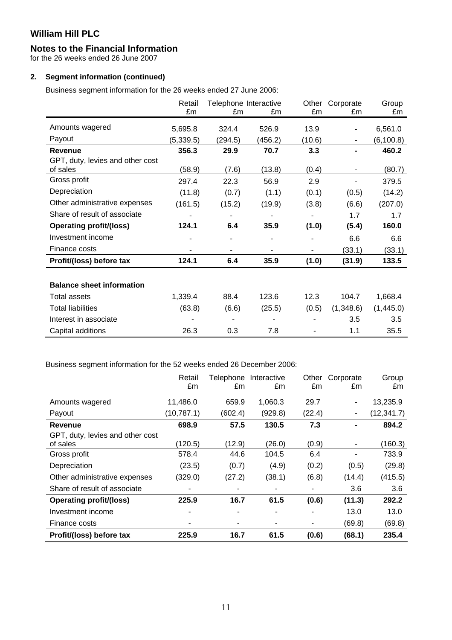### **Notes to the Financial Information**

for the 26 weeks ended 26 June 2007

### **2. Segment information (continued)**

Business segment information for the 26 weeks ended 27 June 2006:

|                                  | Retail<br>£m | Telephone Interactive<br>£m | £m      | Other<br>£m | Corporate<br>£m | Group<br>£m |
|----------------------------------|--------------|-----------------------------|---------|-------------|-----------------|-------------|
| Amounts wagered                  | 5,695.8      | 324.4                       | 526.9   | 13.9        | ۰               | 6,561.0     |
|                                  |              |                             |         |             |                 |             |
| Payout                           | (5, 339.5)   | (294.5)                     | (456.2) | (10.6)      |                 | (6, 100.8)  |
| <b>Revenue</b>                   | 356.3        | 29.9                        | 70.7    | 3.3         |                 | 460.2       |
| GPT, duty, levies and other cost |              |                             |         |             |                 |             |
| of sales                         | (58.9)       | (7.6)                       | (13.8)  | (0.4)       |                 | (80.7)      |
| Gross profit                     | 297.4        | 22.3                        | 56.9    | 2.9         |                 | 379.5       |
| Depreciation                     | (11.8)       | (0.7)                       | (1.1)   | (0.1)       | (0.5)           | (14.2)      |
| Other administrative expenses    | (161.5)      | (15.2)                      | (19.9)  | (3.8)       | (6.6)           | (207.0)     |
| Share of result of associate     |              |                             |         |             | 1.7             | 1.7         |
| <b>Operating profit/(loss)</b>   | 124.1        | 6.4                         | 35.9    | (1.0)       | (5.4)           | 160.0       |
| Investment income                |              |                             |         |             | 6.6             | 6.6         |
| Finance costs                    |              |                             |         |             | (33.1)          | (33.1)      |
| Profit/(loss) before tax         | 124.1        | 6.4                         | 35.9    | (1.0)       | (31.9)          | 133.5       |
|                                  |              |                             |         |             |                 |             |
| <b>Balance sheet information</b> |              |                             |         |             |                 |             |
| <b>Total assets</b>              | 1,339.4      | 88.4                        | 123.6   | 12.3        | 104.7           | 1,668.4     |
| <b>Total liabilities</b>         | (63.8)       | (6.6)                       | (25.5)  | (0.5)       | (1,348.6)       | (1,445.0)   |
| Interest in associate            |              |                             |         |             | 3.5             | 3.5         |
| Capital additions                | 26.3         | 0.3                         | 7.8     |             | 1.1             | 35.5        |

Business segment information for the 52 weeks ended 26 December 2006:

|                                  | Retail<br>£m | £m      | Telephone Interactive<br>£m | Other<br>£m | Corporate<br>£m | Group<br>£m |
|----------------------------------|--------------|---------|-----------------------------|-------------|-----------------|-------------|
| Amounts wagered                  | 11,486.0     | 659.9   | 1,060.3                     | 29.7        | $\blacksquare$  | 13,235.9    |
| Payout                           | (10, 787.1)  | (602.4) | (929.8)                     | (22.4)      |                 | (12, 341.7) |
| <b>Revenue</b>                   | 698.9        | 57.5    | 130.5                       | 7.3         | ۰               | 894.2       |
| GPT, duty, levies and other cost |              |         |                             |             |                 |             |
| of sales                         | (120.5)      | (12.9)  | (26.0)                      | (0.9)       |                 | (160.3)     |
| Gross profit                     | 578.4        | 44.6    | 104.5                       | 6.4         | ۰               | 733.9       |
| Depreciation                     | (23.5)       | (0.7)   | (4.9)                       | (0.2)       | (0.5)           | (29.8)      |
| Other administrative expenses    | (329.0)      | (27.2)  | (38.1)                      | (6.8)       | (14.4)          | (415.5)     |
| Share of result of associate     |              |         | ۰                           |             | 3.6             | 3.6         |
| <b>Operating profit/(loss)</b>   | 225.9        | 16.7    | 61.5                        | (0.6)       | (11.3)          | 292.2       |
| Investment income                |              |         | ۰                           |             | 13.0            | 13.0        |
| Finance costs                    |              |         | ۰                           | ۰           | (69.8)          | (69.8)      |
| Profit/(loss) before tax         | 225.9        | 16.7    | 61.5                        | (0.6)       | (68.1)          | 235.4       |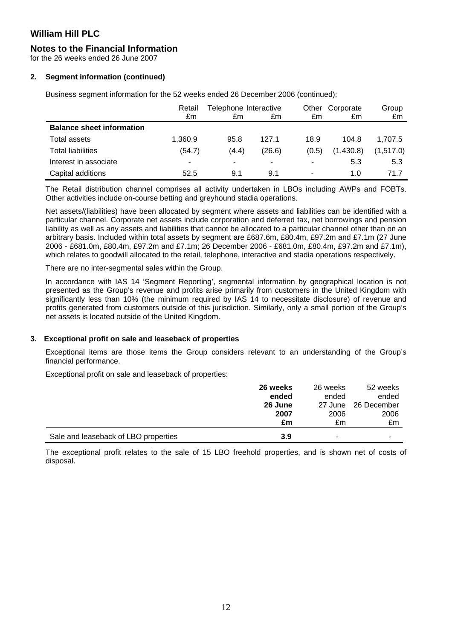## **Notes to the Financial Information**

for the 26 weeks ended 26 June 2007

### **2. Segment information (continued)**

Business segment information for the 52 weeks ended 26 December 2006 (continued):

|                                  | Retail                   | Telephone Interactive |                          |                          | Other Corporate | Group     |
|----------------------------------|--------------------------|-----------------------|--------------------------|--------------------------|-----------------|-----------|
|                                  | £m                       | £m                    | £m                       | £m                       | £m              | £m        |
| <b>Balance sheet information</b> |                          |                       |                          |                          |                 |           |
| Total assets                     | 1,360.9                  | 95.8                  | 127.1                    | 18.9                     | 104.8           | 1.707.5   |
| <b>Total liabilities</b>         | (54.7)                   | (4.4)                 | (26.6)                   | (0.5)                    | (1,430.8)       | (1,517.0) |
| Interest in associate            | $\overline{\phantom{a}}$ | -                     | $\overline{\phantom{a}}$ | -                        | 5.3             | 5.3       |
| Capital additions                | 52.5                     | 9.1                   | 9.1                      | $\overline{\phantom{0}}$ | 1.0             | 71.7      |

The Retail distribution channel comprises all activity undertaken in LBOs including AWPs and FOBTs. Other activities include on-course betting and greyhound stadia operations.

Net assets/(liabilities) have been allocated by segment where assets and liabilities can be identified with a particular channel. Corporate net assets include corporation and deferred tax, net borrowings and pension liability as well as any assets and liabilities that cannot be allocated to a particular channel other than on an arbitrary basis. Included within total assets by segment are £687.6m, £80.4m, £97.2m and £7.1m (27 June 2006 - £681.0m, £80.4m, £97.2m and £7.1m; 26 December 2006 - £681.0m, £80.4m, £97.2m and £7.1m), which relates to goodwill allocated to the retail, telephone, interactive and stadia operations respectively.

There are no inter-segmental sales within the Group.

In accordance with IAS 14 'Segment Reporting', segmental information by geographical location is not presented as the Group's revenue and profits arise primarily from customers in the United Kingdom with significantly less than 10% (the minimum required by IAS 14 to necessitate disclosure) of revenue and profits generated from customers outside of this jurisdiction. Similarly, only a small portion of the Group's net assets is located outside of the United Kingdom.

### **3. Exceptional profit on sale and leaseback of properties**

Exceptional items are those items the Group considers relevant to an understanding of the Group's financial performance.

Exceptional profit on sale and leaseback of properties:

|                                      | 26 weeks | 26 weeks | 52 weeks    |
|--------------------------------------|----------|----------|-------------|
|                                      | ended    | ended    | ended       |
|                                      | 26 June  | 27 June  | 26 December |
|                                      | 2007     | 2006     | 2006        |
|                                      | £m       | £m       | £m          |
| Sale and leaseback of LBO properties | 3.9      | -        | -           |

The exceptional profit relates to the sale of 15 LBO freehold properties, and is shown net of costs of disposal.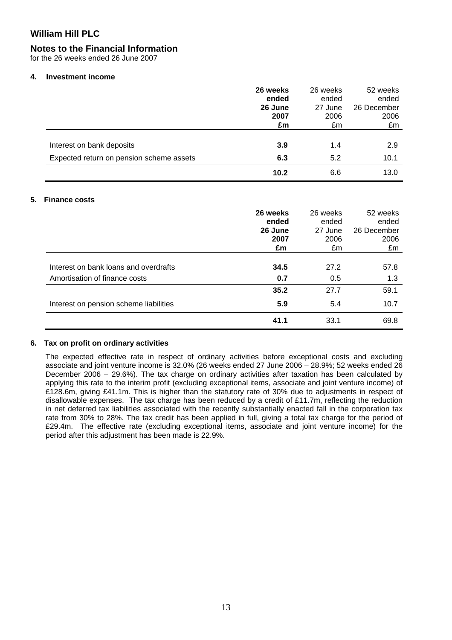### **Notes to the Financial Information**

for the 26 weeks ended 26 June 2007

#### **4. Investment income**

|                                          | 26 weeks | 26 weeks | 52 weeks    |
|------------------------------------------|----------|----------|-------------|
|                                          | ended    | ended    | ended       |
|                                          | 26 June  | 27 June  | 26 December |
|                                          | 2007     | 2006     | 2006        |
|                                          | £m       | £m       | £m          |
|                                          |          |          |             |
| Interest on bank deposits                | 3.9      | 1.4      | 2.9         |
| Expected return on pension scheme assets | 6.3      | 5.2      | 10.1        |
|                                          | 10.2     | 6.6      | 13.0        |

#### **5. Finance costs**

|                                        | 26 weeks<br>ended<br>26 June<br>2007<br>£m | 26 weeks<br>ended<br>27 June<br>2006<br>£m | 52 weeks<br>ended<br>26 December<br>2006<br>£m |
|----------------------------------------|--------------------------------------------|--------------------------------------------|------------------------------------------------|
| Interest on bank loans and overdrafts  | 34.5                                       | 27.2                                       | 57.8                                           |
| Amortisation of finance costs          | 0.7<br>35.2                                | 0.5<br>27.7                                | 1.3<br>59.1                                    |
| Interest on pension scheme liabilities | 5.9                                        | 5.4                                        | 10.7                                           |
|                                        | 41.1                                       | 33.1                                       | 69.8                                           |

#### **6. Tax on profit on ordinary activities**

The expected effective rate in respect of ordinary activities before exceptional costs and excluding associate and joint venture income is 32.0% (26 weeks ended 27 June 2006 – 28.9%; 52 weeks ended 26 December 2006 – 29.6%). The tax charge on ordinary activities after taxation has been calculated by applying this rate to the interim profit (excluding exceptional items, associate and joint venture income) of £128.6m, giving £41.1m. This is higher than the statutory rate of 30% due to adjustments in respect of disallowable expenses. The tax charge has been reduced by a credit of £11.7m, reflecting the reduction in net deferred tax liabilities associated with the recently substantially enacted fall in the corporation tax rate from 30% to 28%. The tax credit has been applied in full, giving a total tax charge for the period of £29.4m. The effective rate (excluding exceptional items, associate and joint venture income) for the period after this adjustment has been made is 22.9%.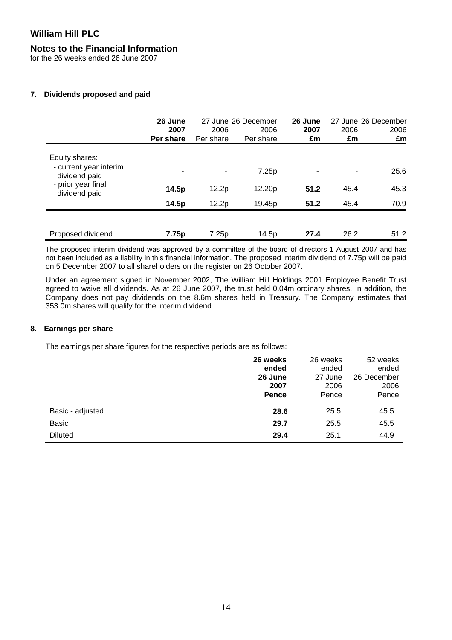### **Notes to the Financial Information**

for the 26 weeks ended 26 June 2007

### **7. Dividends proposed and paid**

|                                                           | 26 June<br>2007<br>Per share | 2006<br>Per share | 27 June 26 December<br>2006<br>Per share | 26 June<br>2007<br>£m | 2006<br>£m | 27 June 26 December<br>2006<br>£m |
|-----------------------------------------------------------|------------------------------|-------------------|------------------------------------------|-----------------------|------------|-----------------------------------|
| Equity shares:<br>- current year interim<br>dividend paid | $\blacksquare$               | ۰                 | 7.25p                                    | $\blacksquare$        | ٠          | 25.6                              |
| - prior year final<br>dividend paid                       | 14.5p                        | 12.2p             | 12.20p                                   | 51.2                  | 45.4       | 45.3                              |
|                                                           | 14.5p                        | 12.2p             | 19.45p                                   | 51.2                  | 45.4       | 70.9                              |
| Proposed dividend                                         | 7.75p                        | 7.25p             | 14.5p                                    | 27.4                  | 26.2       | 51.2                              |

The proposed interim dividend was approved by a committee of the board of directors 1 August 2007 and has not been included as a liability in this financial information. The proposed interim dividend of 7.75p will be paid on 5 December 2007 to all shareholders on the register on 26 October 2007.

Under an agreement signed in November 2002, The William Hill Holdings 2001 Employee Benefit Trust agreed to waive all dividends. As at 26 June 2007, the trust held 0.04m ordinary shares. In addition, the Company does not pay dividends on the 8.6m shares held in Treasury. The Company estimates that 353.0m shares will qualify for the interim dividend.

### **8. Earnings per share**

The earnings per share figures for the respective periods are as follows:

|                  | 26 weeks<br>ended<br>26 June | 26 weeks<br>ended<br>27 June | 52 weeks<br>ended<br>26 December |
|------------------|------------------------------|------------------------------|----------------------------------|
|                  | 2007<br>Pence                | 2006<br>Pence                | 2006<br>Pence                    |
| Basic - adjusted | 28.6                         | 25.5                         | 45.5                             |
| <b>Basic</b>     | 29.7                         | 25.5                         | 45.5                             |
| <b>Diluted</b>   | 29.4                         | 25.1                         | 44.9                             |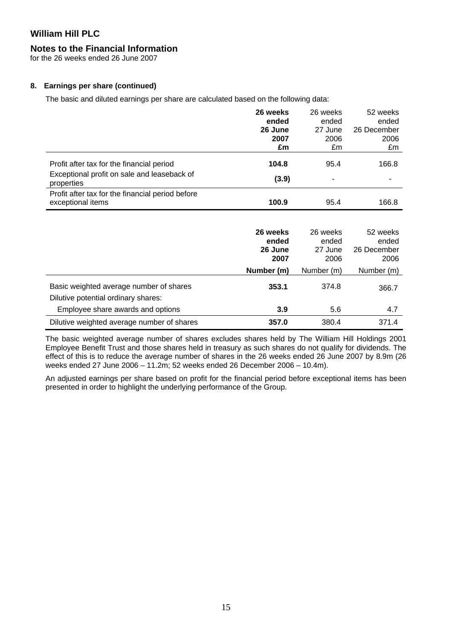## **Notes to the Financial Information**

for the 26 weeks ended 26 June 2007

### **8. Earnings per share (continued)**

The basic and diluted earnings per share are calculated based on the following data:

|                                                                       | 26 weeks<br>ended<br>26 June | 26 weeks<br>ended<br>27 June | 52 weeks<br>ended<br>26 December |
|-----------------------------------------------------------------------|------------------------------|------------------------------|----------------------------------|
|                                                                       | 2007<br>£m                   | 2006<br>£m                   | 2006<br>£m                       |
| Profit after tax for the financial period                             | 104.8                        | 95.4                         | 166.8                            |
| Exceptional profit on sale and leaseback of<br>properties             | (3.9)                        | ۰                            |                                  |
| Profit after tax for the financial period before<br>exceptional items | 100.9                        | 95.4                         | 166.8                            |

|                                                                                | 26 weeks<br>ended<br>26 June<br>2007 | 26 weeks<br>ended<br>27 June<br>2006 | 52 weeks<br>ended<br>26 December<br>2006 |
|--------------------------------------------------------------------------------|--------------------------------------|--------------------------------------|------------------------------------------|
|                                                                                | Number (m)                           | Number (m)                           | Number (m)                               |
| Basic weighted average number of shares<br>Dilutive potential ordinary shares: | 353.1                                | 374.8                                | 366.7                                    |
| Employee share awards and options                                              | 3.9                                  | 5.6                                  | 4.7                                      |
| Dilutive weighted average number of shares                                     | 357.0                                | 380.4                                | 371.4                                    |

The basic weighted average number of shares excludes shares held by The William Hill Holdings 2001 Employee Benefit Trust and those shares held in treasury as such shares do not qualify for dividends. The effect of this is to reduce the average number of shares in the 26 weeks ended 26 June 2007 by 8.9m (26 weeks ended 27 June 2006 – 11.2m; 52 weeks ended 26 December 2006 – 10.4m).

An adjusted earnings per share based on profit for the financial period before exceptional items has been presented in order to highlight the underlying performance of the Group.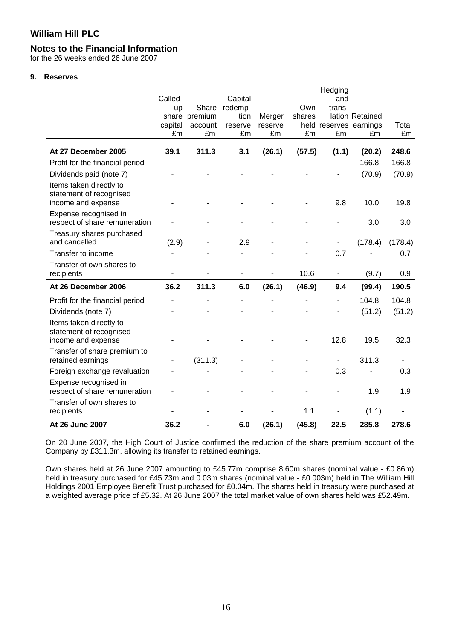### **Notes to the Financial Information**

for the 26 weeks ended 26 June 2007

#### **9. Reserves**

|                                                                          |                          |                        |                 |         |        | Hedging                |                 |         |
|--------------------------------------------------------------------------|--------------------------|------------------------|-----------------|---------|--------|------------------------|-----------------|---------|
|                                                                          | Called-                  |                        | Capital         |         | Own    | and                    |                 |         |
|                                                                          | <b>up</b>                | Share<br>share premium | redemp-<br>tion | Merger  | shares | trans-                 | lation Retained |         |
|                                                                          | capital                  | account                | reserve         | reserve |        | held reserves earnings |                 | Total   |
|                                                                          | £m                       | £m                     | £m              | £m      | £m     | £m                     | £m              | £m      |
| At 27 December 2005                                                      | 39.1                     | 311.3                  | 3.1             | (26.1)  | (57.5) | (1.1)                  | (20.2)          | 248.6   |
| Profit for the financial period                                          |                          |                        | $\blacksquare$  |         |        | $\blacksquare$         | 166.8           | 166.8   |
| Dividends paid (note 7)                                                  |                          |                        |                 |         |        |                        | (70.9)          | (70.9)  |
| Items taken directly to<br>statement of recognised<br>income and expense |                          |                        |                 |         |        | 9.8                    | 10.0            | 19.8    |
| Expense recognised in<br>respect of share remuneration                   |                          |                        |                 |         |        |                        | 3.0             | 3.0     |
| Treasury shares purchased<br>and cancelled                               | (2.9)                    |                        | 2.9             |         |        | $\blacksquare$         | (178.4)         | (178.4) |
| Transfer to income                                                       |                          |                        |                 |         |        | 0.7                    |                 | 0.7     |
| Transfer of own shares to<br>recipients                                  |                          |                        |                 |         | 10.6   | $\blacksquare$         | (9.7)           | 0.9     |
| At 26 December 2006                                                      | 36.2                     | 311.3                  | 6.0             | (26.1)  | (46.9) | 9.4                    | (99.4)          | 190.5   |
| Profit for the financial period                                          |                          |                        |                 |         |        | ä,                     | 104.8           | 104.8   |
| Dividends (note 7)                                                       |                          |                        |                 |         |        |                        | (51.2)          | (51.2)  |
| Items taken directly to<br>statement of recognised<br>income and expense |                          |                        |                 |         |        | 12.8                   | 19.5            | 32.3    |
|                                                                          |                          |                        |                 |         |        |                        |                 |         |
| Transfer of share premium to<br>retained earnings                        | $\overline{\phantom{a}}$ | (311.3)                |                 |         |        | $\blacksquare$         | 311.3           |         |
| Foreign exchange revaluation                                             |                          |                        |                 |         |        | 0.3                    |                 | 0.3     |
| Expense recognised in<br>respect of share remuneration                   |                          |                        |                 |         |        |                        | 1.9             | 1.9     |
| Transfer of own shares to<br>recipients                                  |                          |                        |                 |         | 1.1    | $\blacksquare$         | (1.1)           |         |
| At 26 June 2007                                                          | 36.2                     |                        | 6.0             | (26.1)  | (45.8) | 22.5                   | 285.8           | 278.6   |

On 20 June 2007, the High Court of Justice confirmed the reduction of the share premium account of the Company by £311.3m, allowing its transfer to retained earnings.

Own shares held at 26 June 2007 amounting to £45.77m comprise 8.60m shares (nominal value - £0.86m) held in treasury purchased for £45.73m and 0.03m shares (nominal value - £0.003m) held in The William Hill Holdings 2001 Employee Benefit Trust purchased for £0.04m. The shares held in treasury were purchased at a weighted average price of £5.32. At 26 June 2007 the total market value of own shares held was £52.49m.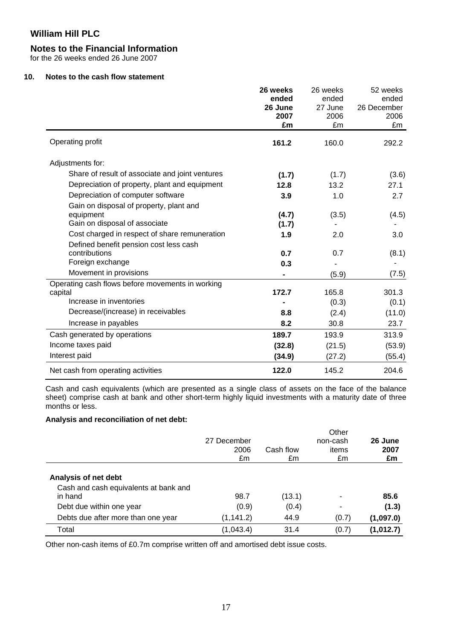### **Notes to the Financial Information**

for the 26 weeks ended 26 June 2007

### **10. Notes to the cash flow statement**

|                                                                                       | 26 weeks<br>ended<br>26 June<br>2007<br>£m | 26 weeks<br>ended<br>27 June<br>2006<br>£m | 52 weeks<br>ended<br>26 December<br>2006<br>£m |
|---------------------------------------------------------------------------------------|--------------------------------------------|--------------------------------------------|------------------------------------------------|
| Operating profit                                                                      | 161.2                                      | 160.0                                      | 292.2                                          |
| Adjustments for:                                                                      |                                            |                                            |                                                |
| Share of result of associate and joint ventures                                       | (1.7)                                      | (1.7)                                      | (3.6)                                          |
| Depreciation of property, plant and equipment                                         | 12.8                                       | 13.2                                       | 27.1                                           |
| Depreciation of computer software                                                     | 3.9                                        | 1.0                                        | 2.7                                            |
| Gain on disposal of property, plant and<br>equipment<br>Gain on disposal of associate | (4.7)<br>(1.7)                             | (3.5)                                      | (4.5)                                          |
| Cost charged in respect of share remuneration                                         | 1.9                                        | 2.0                                        | 3.0                                            |
| Defined benefit pension cost less cash<br>contributions<br>Foreign exchange           | 0.7                                        | 0.7                                        | (8.1)                                          |
| Movement in provisions                                                                | 0.3                                        | (5.9)                                      | (7.5)                                          |
| Operating cash flows before movements in working                                      |                                            |                                            |                                                |
| capital                                                                               | 172.7                                      | 165.8                                      | 301.3                                          |
| Increase in inventories                                                               |                                            | (0.3)                                      | (0.1)                                          |
| Decrease/(increase) in receivables                                                    | 8.8                                        | (2.4)                                      | (11.0)                                         |
| Increase in payables                                                                  | 8.2                                        | 30.8                                       | 23.7                                           |
| Cash generated by operations                                                          | 189.7                                      | 193.9                                      | 313.9                                          |
| Income taxes paid                                                                     | (32.8)                                     | (21.5)                                     | (53.9)                                         |
| Interest paid                                                                         | (34.9)                                     | (27.2)                                     | (55.4)                                         |
| Net cash from operating activities                                                    | 122.0                                      | 145.2                                      | 204.6                                          |

Cash and cash equivalents (which are presented as a single class of assets on the face of the balance sheet) comprise cash at bank and other short-term highly liquid investments with a maturity date of three months or less.

### **Analysis and reconciliation of net debt:**

|                                                                          | 27 December<br>2006<br>£m | Cash flow<br>£m | Other<br>non-cash<br>items<br>£m | 26 June<br>2007<br>£m |
|--------------------------------------------------------------------------|---------------------------|-----------------|----------------------------------|-----------------------|
| Analysis of net debt<br>Cash and cash equivalents at bank and<br>in hand | 98.7                      | (13.1)          | ۰                                | 85.6                  |
| Debt due within one year                                                 | (0.9)                     | (0.4)           |                                  | (1.3)                 |
| Debts due after more than one year                                       | (1, 141.2)                | 44.9            | (0.7)                            | (1,097.0)             |
| Total                                                                    | (1,043.4)                 | 31.4            | (0.7)                            | (1,012.7)             |

Other non-cash items of £0.7m comprise written off and amortised debt issue costs.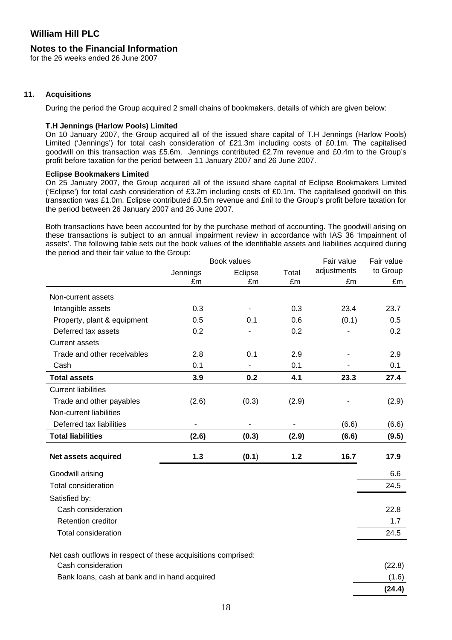### **Notes to the Financial Information**

for the 26 weeks ended 26 June 2007

#### **11. Acquisitions**

During the period the Group acquired 2 small chains of bookmakers, details of which are given below:

#### **T.H Jennings (Harlow Pools) Limited**

On 10 January 2007, the Group acquired all of the issued share capital of T.H Jennings (Harlow Pools) Limited ('Jennings') for total cash consideration of £21.3m including costs of £0.1m. The capitalised goodwill on this transaction was £5.6m. Jennings contributed £2.7m revenue and £0.4m to the Group's profit before taxation for the period between 11 January 2007 and 26 June 2007.

#### **Eclipse Bookmakers Limited**

On 25 January 2007, the Group acquired all of the issued share capital of Eclipse Bookmakers Limited ('Eclipse') for total cash consideration of £3.2m including costs of £0.1m. The capitalised goodwill on this transaction was £1.0m. Eclipse contributed £0.5m revenue and £nil to the Group's profit before taxation for the period between 26 January 2007 and 26 June 2007.

Both transactions have been accounted for by the purchase method of accounting. The goodwill arising on these transactions is subject to an annual impairment review in accordance with IAS 36 'Impairment of assets'. The following table sets out the book values of the identifiable assets and liabilities acquired during the period and their fair value to the Group:

|                                                                                     |          | Book values | Fair value | Fair value  |          |
|-------------------------------------------------------------------------------------|----------|-------------|------------|-------------|----------|
|                                                                                     | Jennings | Eclipse     | Total      | adjustments | to Group |
|                                                                                     | £m       | £m          | £m         | £m          | £m       |
| Non-current assets                                                                  |          |             |            |             |          |
| Intangible assets                                                                   | 0.3      |             | 0.3        | 23.4        | 23.7     |
| Property, plant & equipment                                                         | 0.5      | 0.1         | 0.6        | (0.1)       | 0.5      |
| Deferred tax assets                                                                 | 0.2      |             | 0.2        |             | 0.2      |
| <b>Current assets</b>                                                               |          |             |            |             |          |
| Trade and other receivables                                                         | 2.8      | 0.1         | 2.9        |             | 2.9      |
| Cash                                                                                | 0.1      |             | 0.1        |             | 0.1      |
| <b>Total assets</b>                                                                 | 3.9      | 0.2         | 4.1        | 23.3        | 27.4     |
| <b>Current liabilities</b>                                                          |          |             |            |             |          |
| Trade and other payables                                                            | (2.6)    | (0.3)       | (2.9)      |             | (2.9)    |
| Non-current liabilities                                                             |          |             |            |             |          |
| Deferred tax liabilities                                                            |          |             |            | (6.6)       | (6.6)    |
| <b>Total liabilities</b>                                                            | (2.6)    | (0.3)       | (2.9)      | (6.6)       | (9.5)    |
| Net assets acquired                                                                 | 1.3      | (0.1)       | 1.2        | 16.7        | 17.9     |
| Goodwill arising                                                                    |          |             |            |             | 6.6      |
| <b>Total consideration</b>                                                          |          |             |            |             | 24.5     |
| Satisfied by:                                                                       |          |             |            |             |          |
| Cash consideration                                                                  |          |             |            |             | 22.8     |
| <b>Retention creditor</b>                                                           |          |             |            |             | 1.7      |
| <b>Total consideration</b>                                                          |          |             |            |             | 24.5     |
|                                                                                     |          |             |            |             |          |
| Net cash outflows in respect of these acquisitions comprised:<br>Cash consideration |          |             |            |             | (22.8)   |
| Bank loans, cash at bank and in hand acquired                                       |          |             |            |             | (1.6)    |
|                                                                                     |          |             |            |             | (24.4)   |
|                                                                                     |          |             |            |             |          |